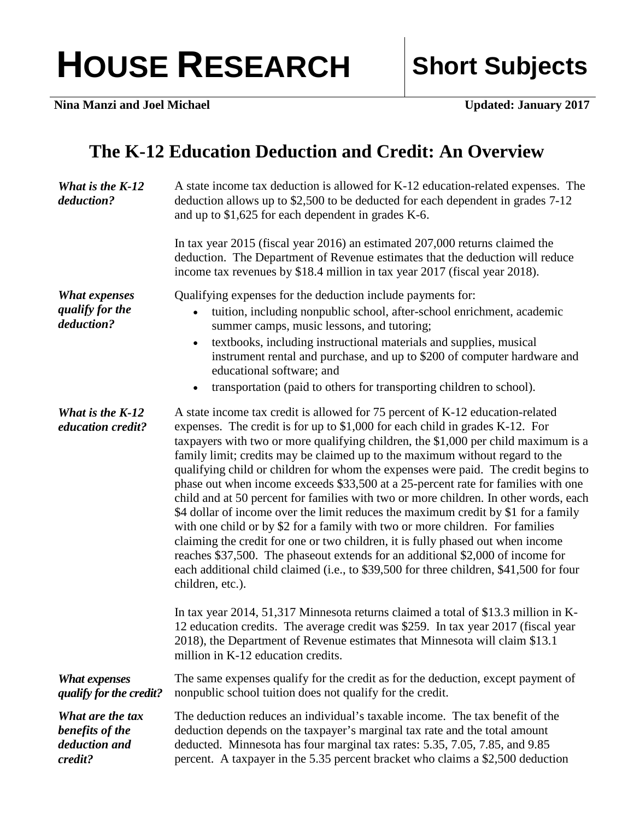## HOUSE RESEARCH Short Subjects

**Nina Manzi and Joel Michael <b>View Community Updated: January 2017** 

## **The K-12 Education Deduction and Credit: An Overview**

| What is the K-12<br>deduction?                                  | A state income tax deduction is allowed for K-12 education-related expenses. The<br>deduction allows up to \$2,500 to be deducted for each dependent in grades 7-12<br>and up to $$1,625$ for each dependent in grades K-6.                                                                                                                                                                                                                                                                                                                                                                                                                                                                                                                                                                                                                                                                                                                                                                                                                                      |
|-----------------------------------------------------------------|------------------------------------------------------------------------------------------------------------------------------------------------------------------------------------------------------------------------------------------------------------------------------------------------------------------------------------------------------------------------------------------------------------------------------------------------------------------------------------------------------------------------------------------------------------------------------------------------------------------------------------------------------------------------------------------------------------------------------------------------------------------------------------------------------------------------------------------------------------------------------------------------------------------------------------------------------------------------------------------------------------------------------------------------------------------|
|                                                                 | In tax year 2015 (fiscal year 2016) an estimated 207,000 returns claimed the<br>deduction. The Department of Revenue estimates that the deduction will reduce<br>income tax revenues by \$18.4 million in tax year 2017 (fiscal year 2018).                                                                                                                                                                                                                                                                                                                                                                                                                                                                                                                                                                                                                                                                                                                                                                                                                      |
| <b>What expenses</b><br>qualify for the<br>deduction?           | Qualifying expenses for the deduction include payments for:<br>tuition, including nonpublic school, after-school enrichment, academic<br>summer camps, music lessons, and tutoring;<br>textbooks, including instructional materials and supplies, musical<br>$\bullet$<br>instrument rental and purchase, and up to \$200 of computer hardware and<br>educational software; and<br>transportation (paid to others for transporting children to school).<br>$\bullet$                                                                                                                                                                                                                                                                                                                                                                                                                                                                                                                                                                                             |
| What is the K-12<br>education credit?                           | A state income tax credit is allowed for 75 percent of K-12 education-related<br>expenses. The credit is for up to \$1,000 for each child in grades K-12. For<br>taxpayers with two or more qualifying children, the \$1,000 per child maximum is a<br>family limit; credits may be claimed up to the maximum without regard to the<br>qualifying child or children for whom the expenses were paid. The credit begins to<br>phase out when income exceeds \$33,500 at a 25-percent rate for families with one<br>child and at 50 percent for families with two or more children. In other words, each<br>\$4 dollar of income over the limit reduces the maximum credit by \$1 for a family<br>with one child or by \$2 for a family with two or more children. For families<br>claiming the credit for one or two children, it is fully phased out when income<br>reaches \$37,500. The phaseout extends for an additional \$2,000 of income for<br>each additional child claimed (i.e., to \$39,500 for three children, \$41,500 for four<br>children, etc.). |
|                                                                 | In tax year 2014, 51,317 Minnesota returns claimed a total of \$13.3 million in K-<br>12 education credits. The average credit was \$259. In tax year 2017 (fiscal year<br>2018), the Department of Revenue estimates that Minnesota will claim \$13.1<br>million in K-12 education credits.                                                                                                                                                                                                                                                                                                                                                                                                                                                                                                                                                                                                                                                                                                                                                                     |
| <b>What expenses</b><br>qualify for the credit?                 | The same expenses qualify for the credit as for the deduction, except payment of<br>nonpublic school tuition does not qualify for the credit.                                                                                                                                                                                                                                                                                                                                                                                                                                                                                                                                                                                                                                                                                                                                                                                                                                                                                                                    |
| What are the tax<br>benefits of the<br>deduction and<br>credit? | The deduction reduces an individual's taxable income. The tax benefit of the<br>deduction depends on the taxpayer's marginal tax rate and the total amount<br>deducted. Minnesota has four marginal tax rates: 5.35, 7.05, 7.85, and 9.85<br>percent. A taxpayer in the 5.35 percent bracket who claims a \$2,500 deduction                                                                                                                                                                                                                                                                                                                                                                                                                                                                                                                                                                                                                                                                                                                                      |